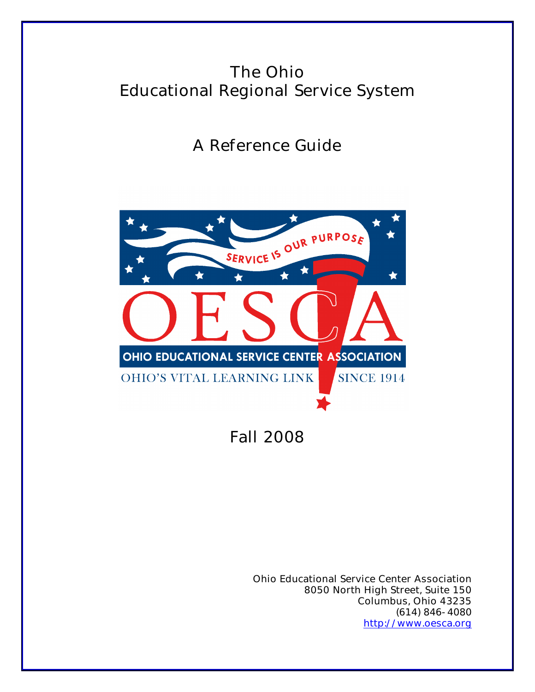# The Ohio Educational Regional Service System

A Reference Guide



Fall 2008

Ohio Educational Service Center Association 8050 North High Street, Suite 150 Columbus, Ohio 43235 (614) 846-4080 http://www.oesca.org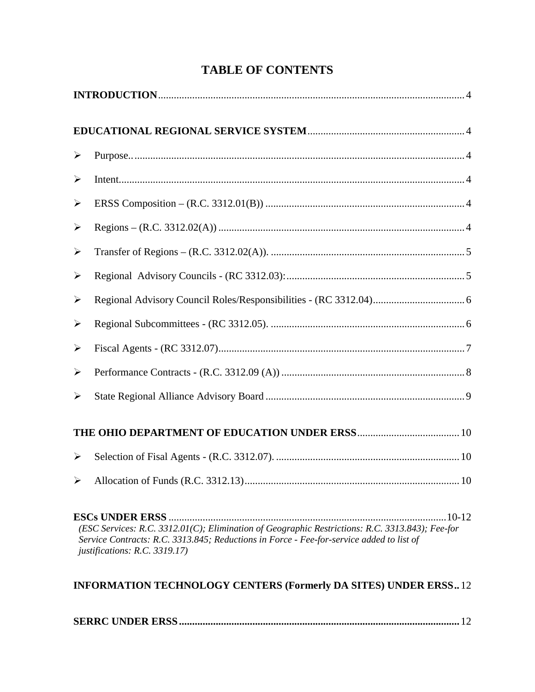| ➤                                                                                                                                                                                                                            |  |  |  |
|------------------------------------------------------------------------------------------------------------------------------------------------------------------------------------------------------------------------------|--|--|--|
| $\blacktriangleright$                                                                                                                                                                                                        |  |  |  |
| $\blacktriangleright$                                                                                                                                                                                                        |  |  |  |
| $\blacktriangleright$                                                                                                                                                                                                        |  |  |  |
| $\blacktriangleright$                                                                                                                                                                                                        |  |  |  |
| ➤                                                                                                                                                                                                                            |  |  |  |
| $\blacktriangleright$                                                                                                                                                                                                        |  |  |  |
| $\blacktriangleright$                                                                                                                                                                                                        |  |  |  |
| $\blacktriangleright$                                                                                                                                                                                                        |  |  |  |
| ➤                                                                                                                                                                                                                            |  |  |  |
| $\blacktriangleright$                                                                                                                                                                                                        |  |  |  |
|                                                                                                                                                                                                                              |  |  |  |
| ➤                                                                                                                                                                                                                            |  |  |  |
|                                                                                                                                                                                                                              |  |  |  |
| (ESC Services: R.C. 3312.01(C); Elimination of Geographic Restrictions: R.C. 3313.843); Fee-for<br>Service Contracts: R.C. 3313.845; Reductions in Force - Fee-for-service added to list of<br>justifications: R.C. 3319.17) |  |  |  |
| <b>INFORMATION TECHNOLOGY CENTERS (Formerly DA SITES) UNDER ERSS12</b>                                                                                                                                                       |  |  |  |

**SERRC UNDER ERSS ...........................................................................................................** 12

### **TABLE OF CONTENTS**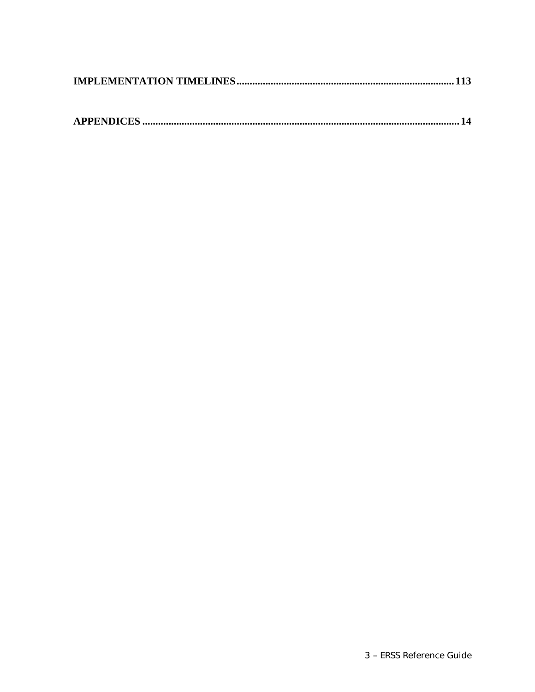|--|--|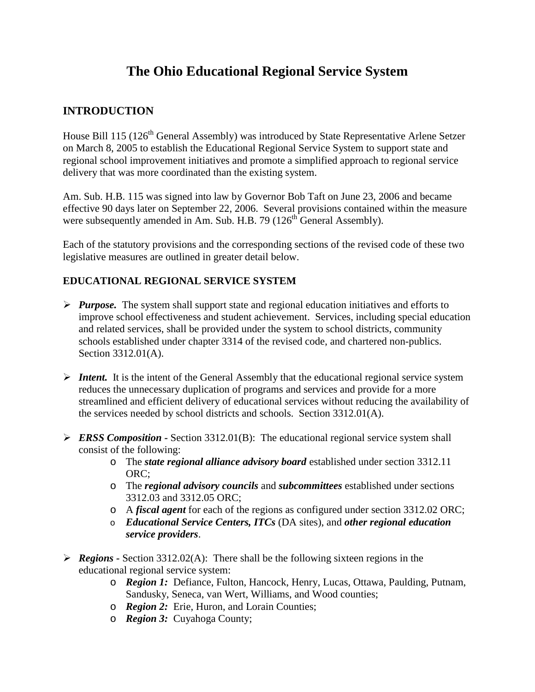## **The Ohio Educational Regional Service System**

#### **INTRODUCTION**

House Bill 115 (126<sup>th</sup> General Assembly) was introduced by State Representative Arlene Setzer on March 8, 2005 to establish the Educational Regional Service System to support state and regional school improvement initiatives and promote a simplified approach to regional service delivery that was more coordinated than the existing system.

Am. Sub. H.B. 115 was signed into law by Governor Bob Taft on June 23, 2006 and became effective 90 days later on September 22, 2006. Several provisions contained within the measure were subsequently amended in Am. Sub. H.B. 79 ( $126<sup>th</sup>$  General Assembly).

Each of the statutory provisions and the corresponding sections of the revised code of these two legislative measures are outlined in greater detail below.

#### **EDUCATIONAL REGIONAL SERVICE SYSTEM**

- *Purpose.* The system shall support state and regional education initiatives and efforts to improve school effectiveness and student achievement. Services, including special education and related services, shall be provided under the system to school districts, community schools established under chapter 3314 of the revised code, and chartered non-publics. Section 3312.01(A).
- **Intent.** It is the intent of the General Assembly that the educational regional service system reduces the unnecessary duplication of programs and services and provide for a more streamlined and efficient delivery of educational services without reducing the availability of the services needed by school districts and schools. Section 3312.01(A).
- *ERSS Composition* Section 3312.01(B):The educational regional service system shall consist of the following:
	- o The *state regional alliance advisory board* established under section 3312.11 ORC;
	- o The *regional advisory councils* and *subcommittees* established under sections 3312.03 and 3312.05 ORC;
	- o A *fiscal agent* for each of the regions as configured under section 3312.02 ORC;
	- o *Educational Service Centers, ITCs* (DA sites), and *other regional education service providers*.
- *Regions* Section 3312.02(A): There shall be the following sixteen regions in the educational regional service system:
	- o *Region 1:* Defiance, Fulton, Hancock, Henry, Lucas, Ottawa, Paulding, Putnam, Sandusky, Seneca, van Wert, Williams, and Wood counties;
	- o *Region 2:* Erie, Huron, and Lorain Counties;
	- o *Region 3:* Cuyahoga County;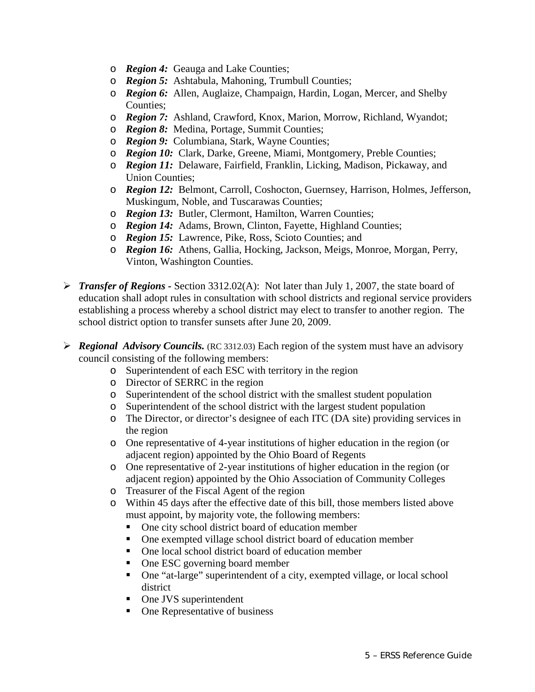- o *Region 4:* Geauga and Lake Counties;
- o *Region 5:* Ashtabula, Mahoning, Trumbull Counties;
- o *Region 6:* Allen, Auglaize, Champaign, Hardin, Logan, Mercer, and Shelby Counties;
- o *Region 7:* Ashland, Crawford, Knox, Marion, Morrow, Richland, Wyandot;
- o *Region 8:* Medina, Portage, Summit Counties;
- o *Region 9:* Columbiana, Stark, Wayne Counties;
- o *Region 10:* Clark, Darke, Greene, Miami, Montgomery, Preble Counties;
- o *Region 11:* Delaware, Fairfield, Franklin, Licking, Madison, Pickaway, and Union Counties;
- o *Region 12:* Belmont, Carroll, Coshocton, Guernsey, Harrison, Holmes, Jefferson, Muskingum, Noble, and Tuscarawas Counties;
- o *Region 13:* Butler, Clermont, Hamilton, Warren Counties;
- o *Region 14:* Adams, Brown, Clinton, Fayette, Highland Counties;
- o *Region 15:* Lawrence, Pike, Ross, Scioto Counties; and
- o *Region 16:* Athens, Gallia, Hocking, Jackson, Meigs, Monroe, Morgan, Perry, Vinton, Washington Counties.
- *Transfer of Regions* Section 3312.02(A): Not later than July 1, 2007, the state board of education shall adopt rules in consultation with school districts and regional service providers establishing a process whereby a school district may elect to transfer to another region. The school district option to transfer sunsets after June 20, 2009.
- *Regional Advisory Councils.* (RC 3312.03) Each region of the system must have an advisory council consisting of the following members:
	- o Superintendent of each ESC with territory in the region
	- o Director of SERRC in the region
	- o Superintendent of the school district with the smallest student population
	- o Superintendent of the school district with the largest student population
	- o The Director, or director's designee of each ITC (DA site) providing services in the region
	- o One representative of 4-year institutions of higher education in the region (or adjacent region) appointed by the Ohio Board of Regents
	- o One representative of 2-year institutions of higher education in the region (or adjacent region) appointed by the Ohio Association of Community Colleges
	- o Treasurer of the Fiscal Agent of the region
	- o Within 45 days after the effective date of this bill, those members listed above must appoint, by majority vote, the following members:
		- One city school district board of education member
		- One exempted village school district board of education member
		- One local school district board of education member
		- One ESC governing board member
		- One "at-large" superintendent of a city, exempted village, or local school district
		- One JVS superintendent
		- One Representative of business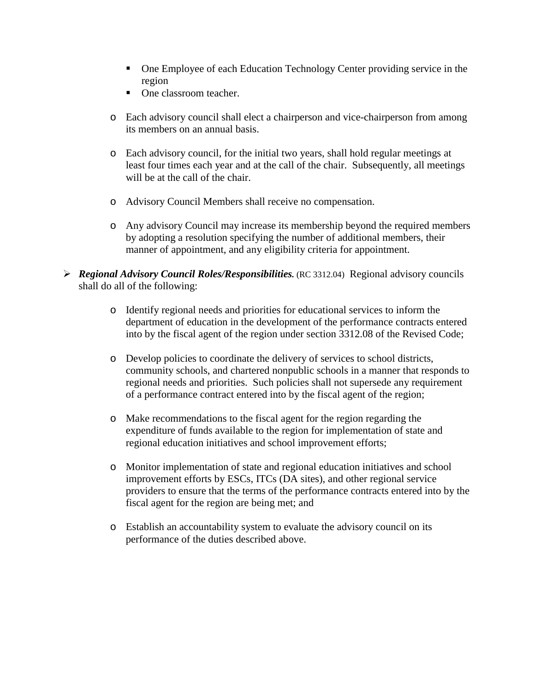- One Employee of each Education Technology Center providing service in the region
- **•** One classroom teacher.
- o Each advisory council shall elect a chairperson and vice-chairperson from among its members on an annual basis.
- o Each advisory council, for the initial two years, shall hold regular meetings at least four times each year and at the call of the chair. Subsequently, all meetings will be at the call of the chair.
- o Advisory Council Members shall receive no compensation.
- o Any advisory Council may increase its membership beyond the required members by adopting a resolution specifying the number of additional members, their manner of appointment, and any eligibility criteria for appointment.
- *Regional Advisory Council Roles/Responsibilities.* (RC 3312.04) Regional advisory councils shall do all of the following:
	- o Identify regional needs and priorities for educational services to inform the department of education in the development of the performance contracts entered into by the fiscal agent of the region under section 3312.08 of the Revised Code;
	- o Develop policies to coordinate the delivery of services to school districts, community schools, and chartered nonpublic schools in a manner that responds to regional needs and priorities. Such policies shall not supersede any requirement of a performance contract entered into by the fiscal agent of the region;
	- o Make recommendations to the fiscal agent for the region regarding the expenditure of funds available to the region for implementation of state and regional education initiatives and school improvement efforts;
	- o Monitor implementation of state and regional education initiatives and school improvement efforts by ESCs, ITCs (DA sites), and other regional service providers to ensure that the terms of the performance contracts entered into by the fiscal agent for the region are being met; and
	- o Establish an accountability system to evaluate the advisory council on its performance of the duties described above.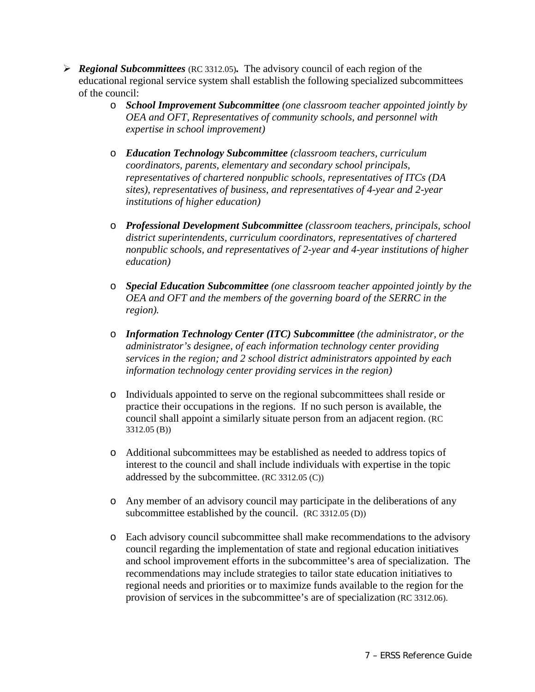- *Regional Subcommittees* (RC 3312.05)*.* The advisory council of each region of the educational regional service system shall establish the following specialized subcommittees of the council:
	- o *School Improvement Subcommittee (one classroom teacher appointed jointly by OEA and OFT, Representatives of community schools, and personnel with expertise in school improvement)*
	- o *Education Technology Subcommittee (classroom teachers, curriculum coordinators, parents, elementary and secondary school principals, representatives of chartered nonpublic schools, representatives of ITCs (DA sites), representatives of business, and representatives of 4-year and 2-year institutions of higher education)*
	- o *Professional Development Subcommittee (classroom teachers, principals, school district superintendents, curriculum coordinators, representatives of chartered nonpublic schools, and representatives of 2-year and 4-year institutions of higher education)*
	- o *Special Education Subcommittee (one classroom teacher appointed jointly by the OEA and OFT and the members of the governing board of the SERRC in the region).*
	- o *Information Technology Center (ITC) Subcommittee (the administrator, or the administrator's designee, of each information technology center providing services in the region; and 2 school district administrators appointed by each information technology center providing services in the region)*
	- o Individuals appointed to serve on the regional subcommittees shall reside or practice their occupations in the regions. If no such person is available, the council shall appoint a similarly situate person from an adjacent region. (RC 3312.05 (B))
	- o Additional subcommittees may be established as needed to address topics of interest to the council and shall include individuals with expertise in the topic addressed by the subcommittee. (RC 3312.05 (C))
	- o Any member of an advisory council may participate in the deliberations of any subcommittee established by the council. (RC 3312.05 (D))
	- o Each advisory council subcommittee shall make recommendations to the advisory council regarding the implementation of state and regional education initiatives and school improvement efforts in the subcommittee's area of specialization. The recommendations may include strategies to tailor state education initiatives to regional needs and priorities or to maximize funds available to the region for the provision of services in the subcommittee's are of specialization (RC 3312.06).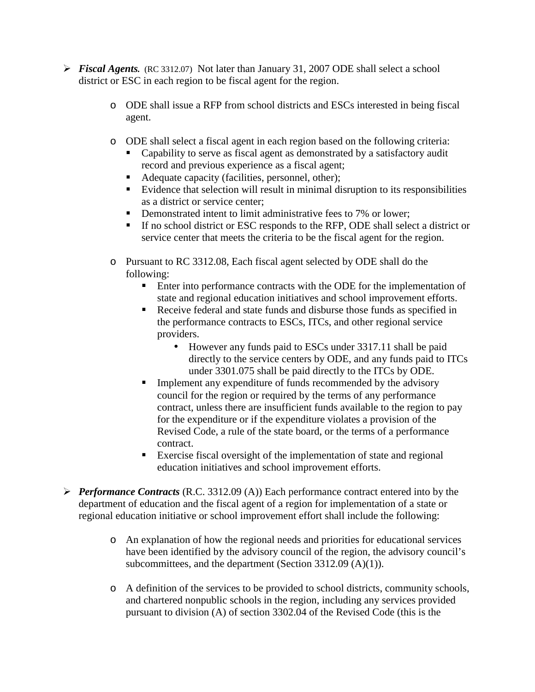- *Fiscal Agents.* (RC 3312.07) Not later than January 31, 2007 ODE shall select a school district or ESC in each region to be fiscal agent for the region.
	- o ODE shall issue a RFP from school districts and ESCs interested in being fiscal agent.
	- o ODE shall select a fiscal agent in each region based on the following criteria:
		- Capability to serve as fiscal agent as demonstrated by a satisfactory audit record and previous experience as a fiscal agent;
		- **Adequate capacity (facilities, personnel, other);**
		- Evidence that selection will result in minimal disruption to its responsibilities as a district or service center;
		- **•** Demonstrated intent to limit administrative fees to 7% or lower;
		- - If no school district or ESC responds to the RFP, ODE shall select a district or service center that meets the criteria to be the fiscal agent for the region.
	- o Pursuant to RC 3312.08, Each fiscal agent selected by ODE shall do the following:
		- **Enter into performance contracts with the ODE for the implementation of** state and regional education initiatives and school improvement efforts.
		- $\blacksquare$  . Receive federal and state funds and disburse those funds as specified in the performance contracts to ESCs, ITCs, and other regional service providers.
			- However any funds paid to ESCs under 3317.11 shall be paid directly to the service centers by ODE, and any funds paid to ITCs under 3301.075 shall be paid directly to the ITCs by ODE.
		- **Implement any expenditure of funds recommended by the advisory** council for the region or required by the terms of any performance contract, unless there are insufficient funds available to the region to pay for the expenditure or if the expenditure violates a provision of the Revised Code, a rule of the state board, or the terms of a performance contract.
		- **Exercise fiscal oversight of the implementation of state and regional** education initiatives and school improvement efforts.
- *Performance Contracts* (R.C. 3312.09 (A)) Each performance contract entered into by the department of education and the fiscal agent of a region for implementation of a state or regional education initiative or school improvement effort shall include the following:
	- o An explanation of how the regional needs and priorities for educational services have been identified by the advisory council of the region, the advisory council's subcommittees, and the department (Section 3312.09 (A)(1)).
	- o A definition of the services to be provided to school districts, community schools, and chartered nonpublic schools in the region, including any services provided pursuant to division (A) of section 3302.04 of the Revised Code (this is the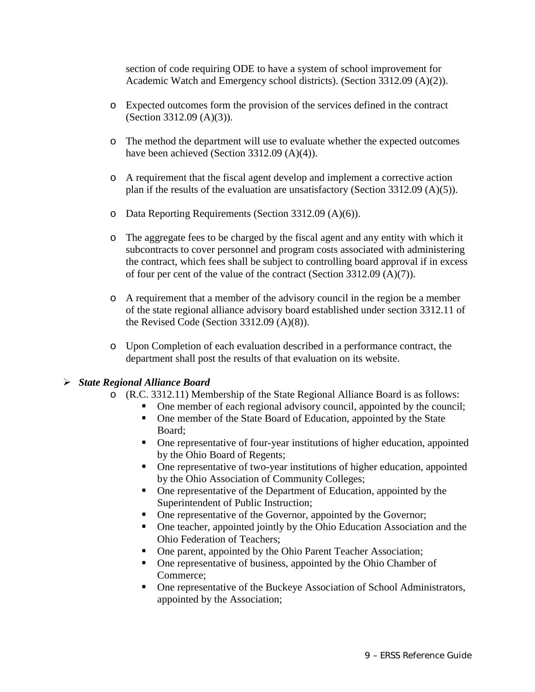section of code requiring ODE to have a system of school improvement for Academic Watch and Emergency school districts). (Section 3312.09 (A)(2)).

- o Expected outcomes form the provision of the services defined in the contract (Section 3312.09 (A)(3)).
- o The method the department will use to evaluate whether the expected outcomes have been achieved (Section 3312.09 (A)(4)).
- o A requirement that the fiscal agent develop and implement a corrective action plan if the results of the evaluation are unsatisfactory (Section 3312.09 (A)(5)).
- o Data Reporting Requirements (Section 3312.09 (A)(6)).
- o The aggregate fees to be charged by the fiscal agent and any entity with which it subcontracts to cover personnel and program costs associated with administering the contract, which fees shall be subject to controlling board approval if in excess of four per cent of the value of the contract (Section 3312.09 (A)(7)).
- o A requirement that a member of the advisory council in the region be a member of the state regional alliance advisory board established under section 3312.11 of the Revised Code (Section  $3312.09$  (A)(8)).
- o Upon Completion of each evaluation described in a performance contract, the department shall post the results of that evaluation on its website.

#### *State Regional Alliance Board*

- o (R.C. 3312.11) Membership of the State Regional Alliance Board is as follows:
	- -One member of each regional advisory council, appointed by the council;
	- One member of the State Board of Education, appointed by the State Board;
	- One representative of four-year institutions of higher education, appointed by the Ohio Board of Regents;
	- One representative of two-year institutions of higher education, appointed by the Ohio Association of Community Colleges;
	- - One representative of the Department of Education, appointed by the Superintendent of Public Instruction;
	- -One representative of the Governor, appointed by the Governor;
	- One teacher, appointed jointly by the Ohio Education Association and the Ohio Federation of Teachers;
	- -One parent, appointed by the Ohio Parent Teacher Association;
	- One representative of business, appointed by the Ohio Chamber of Commerce;
	- - One representative of the Buckeye Association of School Administrators, appointed by the Association;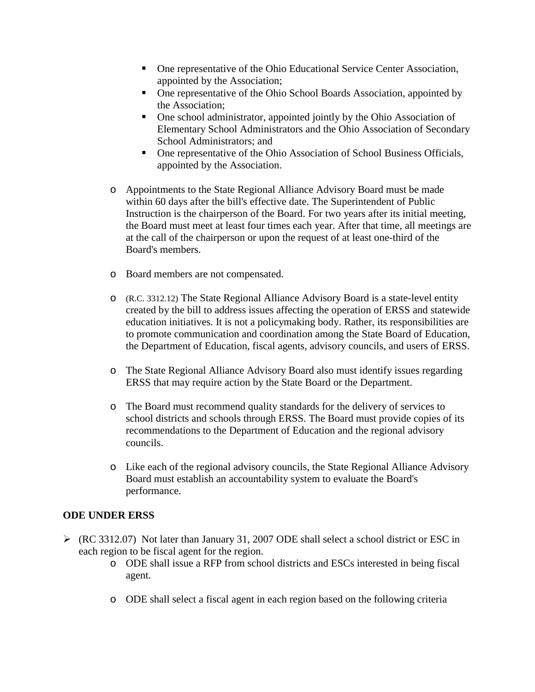- One representative of the Ohio Educational Service Center Association, appointed by the Association;
- - One representative of the Ohio School Boards Association, appointed by the Association;
- One school administrator, appointed jointly by the Ohio Association of Elementary School Administrators and the Ohio Association of Secondary School Administrators; and
- One representative of the Ohio Association of School Business Officials, appointed by the Association.
- o Appointments to the State Regional Alliance Advisory Board must be made within 60 days after the bill's effective date. The Superintendent of Public Instruction is the chairperson of the Board. For two years after its initial meeting, the Board must meet at least four times each year. After that time, all meetings are at the call of the chairperson or upon the request of at least one-third of the Board's members.
- o Board members are not compensated.
- o (R.C. 3312.12) The State Regional Alliance Advisory Board is a state-level entity created by the bill to address issues affecting the operation of ERSS and statewide education initiatives. It is not a policymaking body. Rather, its responsibilities are to promote communication and coordination among the State Board of Education, the Department of Education, fiscal agents, advisory councils, and users of ERSS.
- o The State Regional Alliance Advisory Board also must identify issues regarding ERSS that may require action by the State Board or the Department.
- o The Board must recommend quality standards for the delivery of services to school districts and schools through ERSS. The Board must provide copies of its recommendations to the Department of Education and the regional advisory councils.
- o Like each of the regional advisory councils, the State Regional Alliance Advisory Board must establish an accountability system to evaluate the Board's performance.

#### **ODE UNDER ERSS**

- $\triangleright$  (RC 3312.07) Not later than January 31, 2007 ODE shall select a school district or ESC in each region to be fiscal agent for the region.
	- o ODE shall issue a RFP from school districts and ESCs interested in being fiscal agent.
	- o ODE shall select a fiscal agent in each region based on the following criteria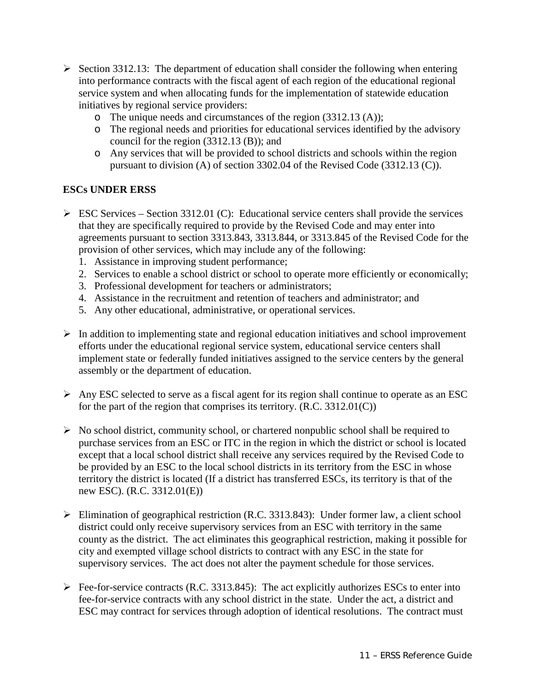- $\triangleright$  Section 3312.13: The department of education shall consider the following when entering into performance contracts with the fiscal agent of each region of the educational regional service system and when allocating funds for the implementation of statewide education initiatives by regional service providers:
	- o The unique needs and circumstances of the region (3312.13 (A));
	- o The regional needs and priorities for educational services identified by the advisory council for the region (3312.13 (B)); and
	- o Any services that will be provided to school districts and schools within the region pursuant to division (A) of section 3302.04 of the Revised Code (3312.13 (C)).

#### **ESCs UNDER ERSS**

- $\triangleright$  ESC Services Section 3312.01 (C): Educational service centers shall provide the services that they are specifically required to provide by the Revised Code and may enter into agreements pursuant to section 3313.843, 3313.844, or 3313.845 of the Revised Code for the provision of other services, which may include any of the following:
	- 1. Assistance in improving student performance;
	- 2. Services to enable a school district or school to operate more efficiently or economically;
	- 3. Professional development for teachers or administrators;
	- 4. Assistance in the recruitment and retention of teachers and administrator; and
	- 5. Any other educational, administrative, or operational services.
- $\triangleright$  In addition to implementing state and regional education initiatives and school improvement efforts under the educational regional service system, educational service centers shall implement state or federally funded initiatives assigned to the service centers by the general assembly or the department of education.
- $\triangleright$  Any ESC selected to serve as a fiscal agent for its region shall continue to operate as an ESC for the part of the region that comprises its territory. (R.C. 3312.01(C))
- $\triangleright$  No school district, community school, or chartered nonpublic school shall be required to purchase services from an ESC or ITC in the region in which the district or school is located except that a local school district shall receive any services required by the Revised Code to be provided by an ESC to the local school districts in its territory from the ESC in whose territory the district is located (If a district has transferred ESCs, its territory is that of the new ESC). (R.C. 3312.01(E))
- $\triangleright$  Elimination of geographical restriction (R.C. 3313.843): Under former law, a client school district could only receive supervisory services from an ESC with territory in the same county as the district. The act eliminates this geographical restriction, making it possible for city and exempted village school districts to contract with any ESC in the state for supervisory services. The act does not alter the payment schedule for those services.
- $\triangleright$  Fee-for-service contracts (R.C. 3313.845): The act explicitly authorizes ESCs to enter into fee-for-service contracts with any school district in the state. Under the act, a district and ESC may contract for services through adoption of identical resolutions. The contract must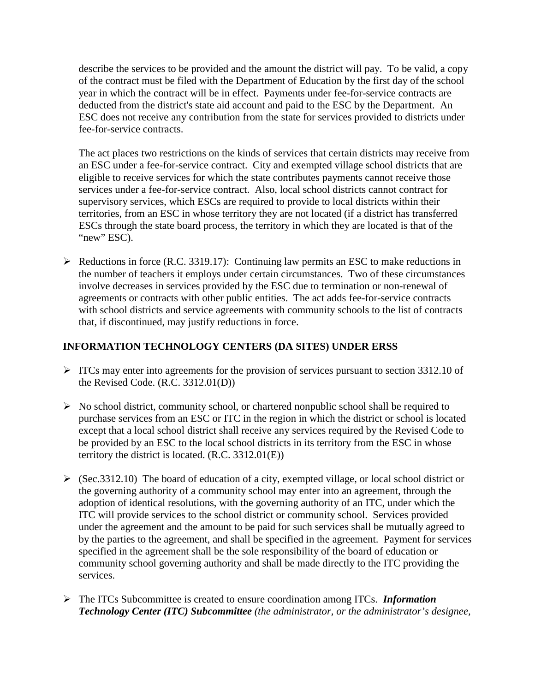describe the services to be provided and the amount the district will pay. To be valid, a copy of the contract must be filed with the Department of Education by the first day of the school year in which the contract will be in effect. Payments under fee-for-service contracts are deducted from the district's state aid account and paid to the ESC by the Department. An ESC does not receive any contribution from the state for services provided to districts under fee-for-service contracts.

The act places two restrictions on the kinds of services that certain districts may receive from an ESC under a fee-for-service contract. City and exempted village school districts that are eligible to receive services for which the state contributes payments cannot receive those services under a fee-for-service contract. Also, local school districts cannot contract for supervisory services, which ESCs are required to provide to local districts within their territories, from an ESC in whose territory they are not located (if a district has transferred ESCs through the state board process, the territory in which they are located is that of the "new" ESC).

 $\triangleright$  Reductions in force (R.C. 3319.17): Continuing law permits an ESC to make reductions in the number of teachers it employs under certain circumstances. Two of these circumstances involve decreases in services provided by the ESC due to termination or non-renewal of agreements or contracts with other public entities. The act adds fee-for-service contracts with school districts and service agreements with community schools to the list of contracts that, if discontinued, may justify reductions in force.

#### **INFORMATION TECHNOLOGY CENTERS (DA SITES) UNDER ERSS**

- $\triangleright$  ITCs may enter into agreements for the provision of services pursuant to section 3312.10 of the Revised Code. (R.C. 3312.01(D))
- $\triangleright$  No school district, community school, or chartered nonpublic school shall be required to purchase services from an ESC or ITC in the region in which the district or school is located except that a local school district shall receive any services required by the Revised Code to be provided by an ESC to the local school districts in its territory from the ESC in whose territory the district is located. (R.C. 3312.01(E))
- $\triangleright$  (Sec.3312.10) The board of education of a city, exempted village, or local school district or the governing authority of a community school may enter into an agreement, through the adoption of identical resolutions, with the governing authority of an ITC, under which the ITC will provide services to the school district or community school. Services provided under the agreement and the amount to be paid for such services shall be mutually agreed to by the parties to the agreement, and shall be specified in the agreement. Payment for services specified in the agreement shall be the sole responsibility of the board of education or community school governing authority and shall be made directly to the ITC providing the services.
- The ITCs Subcommittee is created to ensure coordination among ITCs. *Information Technology Center (ITC) Subcommittee (the administrator, or the administrator's designee,*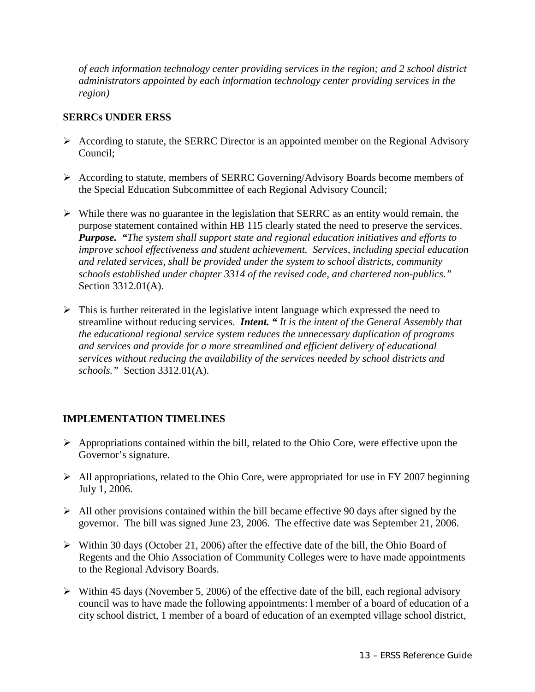*of each information technology center providing services in the region; and 2 school district administrators appointed by each information technology center providing services in the region)*

#### **SERRCs UNDER ERSS**

- $\triangleright$  According to statute, the SERRC Director is an appointed member on the Regional Advisory Council;
- According to statute, members of SERRC Governing/Advisory Boards become members of the Special Education Subcommittee of each Regional Advisory Council;
- $\triangleright$  While there was no guarantee in the legislation that SERRC as an entity would remain, the purpose statement contained within HB 115 clearly stated the need to preserve the services. *Purpose. "The system shall support state and regional education initiatives and efforts to improve school effectiveness and student achievement. Services, including special education and related services, shall be provided under the system to school districts, community schools established under chapter 3314 of the revised code, and chartered non-publics."*  Section 3312.01(A).
- $\triangleright$  This is further reiterated in the legislative intent language which expressed the need to streamline without reducing services. *Intent. " It is the intent of the General Assembly that the educational regional service system reduces the unnecessary duplication of programs and services and provide for a more streamlined and efficient delivery of educational services without reducing the availability of the services needed by school districts and schools."* Section 3312.01(A).

#### **IMPLEMENTATION TIMELINES**

- $\triangleright$  Appropriations contained within the bill, related to the Ohio Core, were effective upon the Governor's signature.
- $\triangleright$  All appropriations, related to the Ohio Core, were appropriated for use in FY 2007 beginning July 1, 2006.
- $\triangleright$  All other provisions contained within the bill became effective 90 days after signed by the governor. The bill was signed June 23, 2006. The effective date was September 21, 2006.
- $\triangleright$  Within 30 days (October 21, 2006) after the effective date of the bill, the Ohio Board of Regents and the Ohio Association of Community Colleges were to have made appointments to the Regional Advisory Boards.
- $\triangleright$  Within 45 days (November 5, 2006) of the effective date of the bill, each regional advisory council was to have made the following appointments: l member of a board of education of a city school district, 1 member of a board of education of an exempted village school district,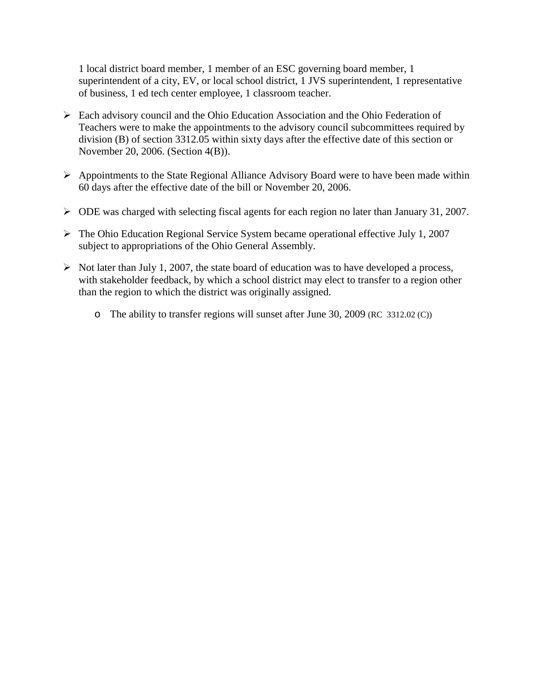1 local district board member, 1 member of an ESC governing board member, 1 superintendent of a city, EV, or local school district, 1 JVS superintendent, 1 representative of business, 1 ed tech center employee, 1 classroom teacher.

- Each advisory council and the Ohio Education Association and the Ohio Federation of Teachers were to make the appointments to the advisory council subcommittees required by division (B) of section 3312.05 within sixty days after the effective date of this section or November 20, 2006. (Section 4(B)).
- $\triangleright$  Appointments to the State Regional Alliance Advisory Board were to have been made within 60 days after the effective date of the bill or November 20, 2006.
- $\triangleright$  ODE was charged with selecting fiscal agents for each region no later than January 31, 2007.
- $\triangleright$  The Ohio Education Regional Service System became operational effective July 1, 2007 subject to appropriations of the Ohio General Assembly.
- $\triangleright$  Not later than July 1, 2007, the state board of education was to have developed a process, with stakeholder feedback, by which a school district may elect to transfer to a region other than the region to which the district was originally assigned.
	- o The ability to transfer regions will sunset after June 30, 2009 (RC 3312.02 (C))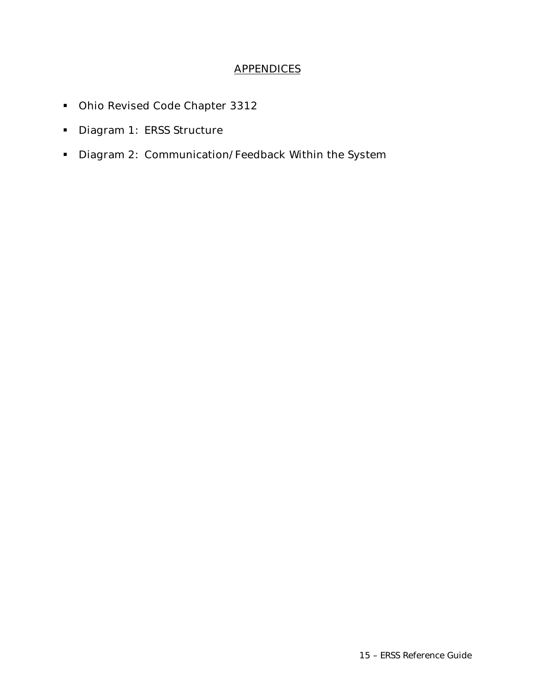#### **APPENDICES**

- **Dhio Revised Code Chapter 3312**
- Diagram 1: ERSS Structure
- **Diagram 2: Communication/Feedback Within the System**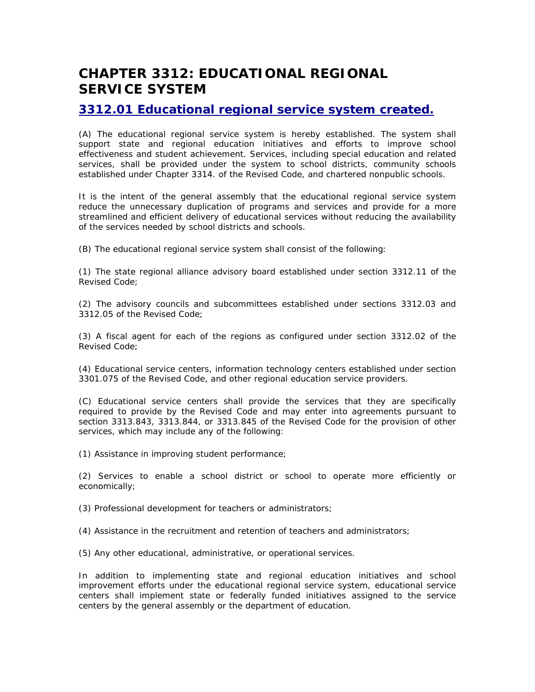## **CHAPTER 3312: EDUCATIONAL REGIONAL SERVICE SYSTEM**

#### **3312.01 Educational regional service system created.**

(A) The educational regional service system is hereby established. The system shall support state and regional education initiatives and efforts to improve school effectiveness and student achievement. Services, including special education and related services, shall be provided under the system to school districts, community schools established under Chapter 3314. of the Revised Code, and chartered nonpublic schools.

It is the intent of the general assembly that the educational regional service system reduce the unnecessary duplication of programs and services and provide for a more streamlined and efficient delivery of educational services without reducing the availability of the services needed by school districts and schools.

(B) The educational regional service system shall consist of the following:

(1) The state regional alliance advisory board established under section 3312.11 of the Revised Code;

(2) The advisory councils and subcommittees established under sections 3312.03 and 3312.05 of the Revised Code;

(3) A fiscal agent for each of the regions as configured under section 3312.02 of the Revised Code;

(4) Educational service centers, information technology centers established under section 3301.075 of the Revised Code, and other regional education service providers.

(C) Educational service centers shall provide the services that they are specifically required to provide by the Revised Code and may enter into agreements pursuant to section 3313.843, 3313.844, or 3313.845 of the Revised Code for the provision of other services, which may include any of the following:

(1) Assistance in improving student performance;

(2) Services to enable a school district or school to operate more efficiently or economically;

(3) Professional development for teachers or administrators;

(4) Assistance in the recruitment and retention of teachers and administrators;

(5) Any other educational, administrative, or operational services.

In addition to implementing state and regional education initiatives and school improvement efforts under the educational regional service system, educational service centers shall implement state or federally funded initiatives assigned to the service centers by the general assembly or the department of education.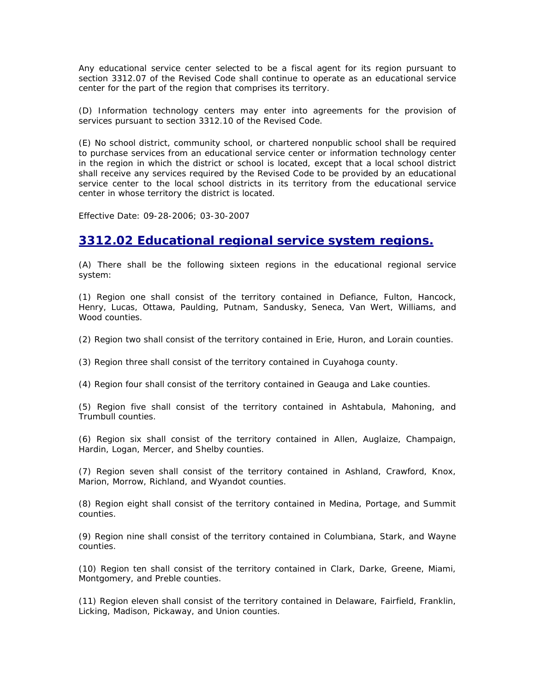Any educational service center selected to be a fiscal agent for its region pursuant to section 3312.07 of the Revised Code shall continue to operate as an educational service center for the part of the region that comprises its territory.

(D) Information technology centers may enter into agreements for the provision of services pursuant to section 3312.10 of the Revised Code.

(E) No school district, community school, or chartered nonpublic school shall be required to purchase services from an educational service center or information technology center in the region in which the district or school is located, except that a local school district shall receive any services required by the Revised Code to be provided by an educational service center to the local school districts in its territory from the educational service center in whose territory the district is located.

Effective Date: 09-28-2006; 03-30-2007

#### **3312.02 Educational regional service system regions.**

(A) There shall be the following sixteen regions in the educational regional service system:

(1) Region one shall consist of the territory contained in Defiance, Fulton, Hancock, Henry, Lucas, Ottawa, Paulding, Putnam, Sandusky, Seneca, Van Wert, Williams, and Wood counties.

(2) Region two shall consist of the territory contained in Erie, Huron, and Lorain counties.

(3) Region three shall consist of the territory contained in Cuyahoga county.

(4) Region four shall consist of the territory contained in Geauga and Lake counties.

(5) Region five shall consist of the territory contained in Ashtabula, Mahoning, and Trumbull counties.

(6) Region six shall consist of the territory contained in Allen, Auglaize, Champaign, Hardin, Logan, Mercer, and Shelby counties.

(7) Region seven shall consist of the territory contained in Ashland, Crawford, Knox, Marion, Morrow, Richland, and Wyandot counties.

(8) Region eight shall consist of the territory contained in Medina, Portage, and Summit counties.

(9) Region nine shall consist of the territory contained in Columbiana, Stark, and Wayne counties.

(10) Region ten shall consist of the territory contained in Clark, Darke, Greene, Miami, Montgomery, and Preble counties.

(11) Region eleven shall consist of the territory contained in Delaware, Fairfield, Franklin, Licking, Madison, Pickaway, and Union counties.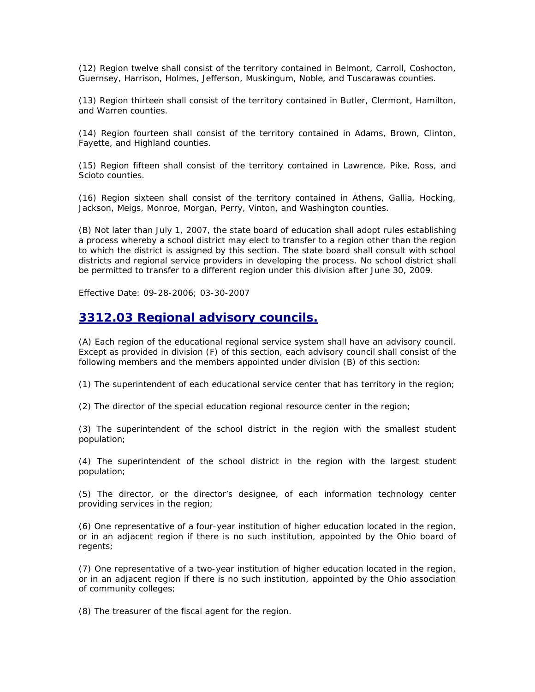(12) Region twelve shall consist of the territory contained in Belmont, Carroll, Coshocton, Guernsey, Harrison, Holmes, Jefferson, Muskingum, Noble, and Tuscarawas counties.

(13) Region thirteen shall consist of the territory contained in Butler, Clermont, Hamilton, and Warren counties.

(14) Region fourteen shall consist of the territory contained in Adams, Brown, Clinton, Fayette, and Highland counties.

(15) Region fifteen shall consist of the territory contained in Lawrence, Pike, Ross, and Scioto counties.

(16) Region sixteen shall consist of the territory contained in Athens, Gallia, Hocking, Jackson, Meigs, Monroe, Morgan, Perry, Vinton, and Washington counties.

(B) Not later than July 1, 2007, the state board of education shall adopt rules establishing a process whereby a school district may elect to transfer to a region other than the region to which the district is assigned by this section. The state board shall consult with school districts and regional service providers in developing the process. No school district shall be permitted to transfer to a different region under this division after June 30, 2009.

Effective Date: 09-28-2006; 03-30-2007

#### **3312.03 Regional advisory councils.**

(A) Each region of the educational regional service system shall have an advisory council. Except as provided in division (F) of this section, each advisory council shall consist of the following members and the members appointed under division (B) of this section:

(1) The superintendent of each educational service center that has territory in the region;

(2) The director of the special education regional resource center in the region;

(3) The superintendent of the school district in the region with the smallest student population;

(4) The superintendent of the school district in the region with the largest student population;

(5) The director, or the director's designee, of each information technology center providing services in the region;

(6) One representative of a four-year institution of higher education located in the region, or in an adjacent region if there is no such institution, appointed by the Ohio board of regents;

(7) One representative of a two-year institution of higher education located in the region, or in an adjacent region if there is no such institution, appointed by the Ohio association of community colleges;

(8) The treasurer of the fiscal agent for the region.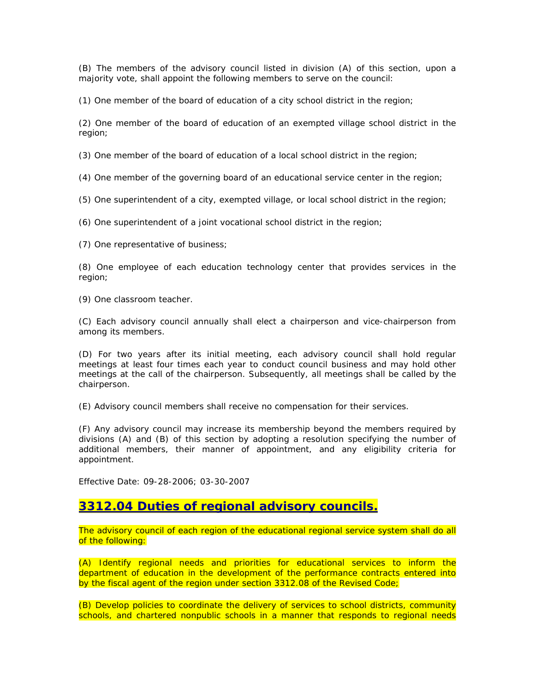(B) The members of the advisory council listed in division (A) of this section, upon a majority vote, shall appoint the following members to serve on the council:

(1) One member of the board of education of a city school district in the region;

(2) One member of the board of education of an exempted village school district in the region;

(3) One member of the board of education of a local school district in the region;

(4) One member of the governing board of an educational service center in the region;

(5) One superintendent of a city, exempted village, or local school district in the region;

(6) One superintendent of a joint vocational school district in the region;

(7) One representative of business;

(8) One employee of each education technology center that provides services in the region;

(9) One classroom teacher.

(C) Each advisory council annually shall elect a chairperson and vice-chairperson from among its members.

(D) For two years after its initial meeting, each advisory council shall hold regular meetings at least four times each year to conduct council business and may hold other meetings at the call of the chairperson. Subsequently, all meetings shall be called by the chairperson.

(E) Advisory council members shall receive no compensation for their services.

(F) Any advisory council may increase its membership beyond the members required by divisions (A) and (B) of this section by adopting a resolution specifying the number of additional members, their manner of appointment, and any eligibility criteria for appointment.

Effective Date: 09-28-2006; 03-30-2007

#### **3312.04 Duties of regional advisory councils.**

The advisory council of each region of the educational regional service system shall do all of the following:

(A) Identify regional needs and priorities for educational services to inform the department of education in the development of the performance contracts entered into by the fiscal agent of the region under section 3312.08 of the Revised Code;

(B) Develop policies to coordinate the delivery of services to school districts, community schools, and chartered nonpublic schools in a manner that responds to regional needs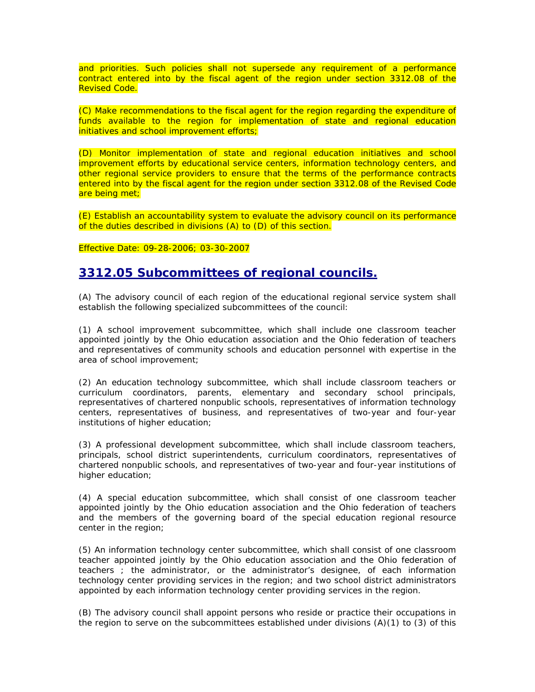and priorities. Such policies shall not supersede any requirement of a performance contract entered into by the fiscal agent of the region under section 3312.08 of the Revised Code.

(C) Make recommendations to the fiscal agent for the region regarding the expenditure of funds available to the region for implementation of state and regional education initiatives and school improvement efforts;

(D) Monitor implementation of state and regional education initiatives and school improvement efforts by educational service centers, information technology centers, and other regional service providers to ensure that the terms of the performance contracts entered into by the fiscal agent for the region under section 3312.08 of the Revised Code are being met;

(E) Establish an accountability system to evaluate the advisory council on its performance of the duties described in divisions (A) to (D) of this section.

#### Effective Date: 09-28-2006; 03-30-2007

#### **3312.05 Subcommittees of regional councils.**

(A) The advisory council of each region of the educational regional service system shall establish the following specialized subcommittees of the council:

(1) A school improvement subcommittee, which shall include one classroom teacher appointed jointly by the Ohio education association and the Ohio federation of teachers and representatives of community schools and education personnel with expertise in the area of school improvement;

(2) An education technology subcommittee, which shall include classroom teachers or curriculum coordinators, parents, elementary and secondary school principals, representatives of chartered nonpublic schools, representatives of information technology centers, representatives of business, and representatives of two-year and four-year institutions of higher education;

(3) A professional development subcommittee, which shall include classroom teachers, principals, school district superintendents, curriculum coordinators, representatives of chartered nonpublic schools, and representatives of two-year and four-year institutions of higher education;

(4) A special education subcommittee, which shall consist of one classroom teacher appointed jointly by the Ohio education association and the Ohio federation of teachers and the members of the governing board of the special education regional resource center in the region;

(5) An information technology center subcommittee, which shall consist of one classroom teacher appointed jointly by the Ohio education association and the Ohio federation of teachers ; the administrator, or the administrator's designee, of each information technology center providing services in the region; and two school district administrators appointed by each information technology center providing services in the region.

(B) The advisory council shall appoint persons who reside or practice their occupations in the region to serve on the subcommittees established under divisions  $(A)(1)$  to  $(3)$  of this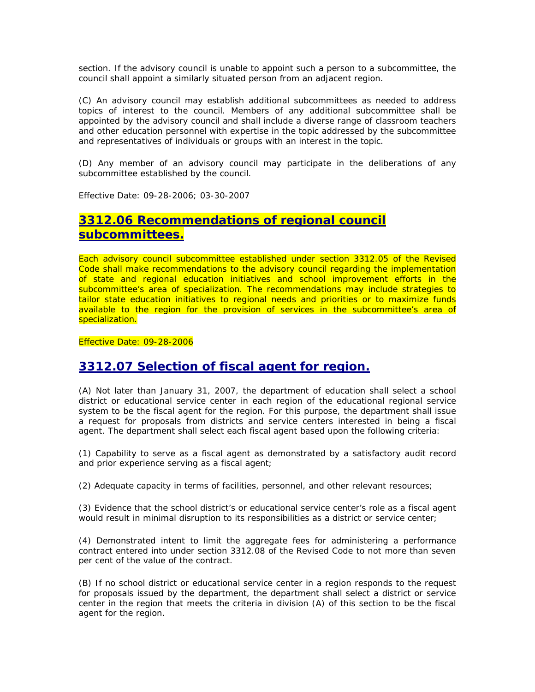section. If the advisory council is unable to appoint such a person to a subcommittee, the council shall appoint a similarly situated person from an adjacent region.

(C) An advisory council may establish additional subcommittees as needed to address topics of interest to the council. Members of any additional subcommittee shall be appointed by the advisory council and shall include a diverse range of classroom teachers and other education personnel with expertise in the topic addressed by the subcommittee and representatives of individuals or groups with an interest in the topic.

(D) Any member of an advisory council may participate in the deliberations of any subcommittee established by the council.

Effective Date: 09-28-2006; 03-30-2007

#### **3312.06 Recommendations of regional council subcommittees.**

Each advisory council subcommittee established under section 3312.05 of the Revised Code shall make recommendations to the advisory council regarding the implementation of state and regional education initiatives and school improvement efforts in the subcommittee's area of specialization. The recommendations may include strategies to tailor state education initiatives to regional needs and priorities or to maximize funds available to the region for the provision of services in the subcommittee's area of specialization.

Effective Date: 09-28-2006

### **3312.07 Selection of fiscal agent for region.**

(A) Not later than January 31, 2007, the department of education shall select a school district or educational service center in each region of the educational regional service system to be the fiscal agent for the region. For this purpose, the department shall issue a request for proposals from districts and service centers interested in being a fiscal agent. The department shall select each fiscal agent based upon the following criteria:

(1) Capability to serve as a fiscal agent as demonstrated by a satisfactory audit record and prior experience serving as a fiscal agent;

(2) Adequate capacity in terms of facilities, personnel, and other relevant resources;

(3) Evidence that the school district's or educational service center's role as a fiscal agent would result in minimal disruption to its responsibilities as a district or service center;

(4) Demonstrated intent to limit the aggregate fees for administering a performance contract entered into under section 3312.08 of the Revised Code to not more than seven per cent of the value of the contract.

(B) If no school district or educational service center in a region responds to the request for proposals issued by the department, the department shall select a district or service center in the region that meets the criteria in division (A) of this section to be the fiscal agent for the region.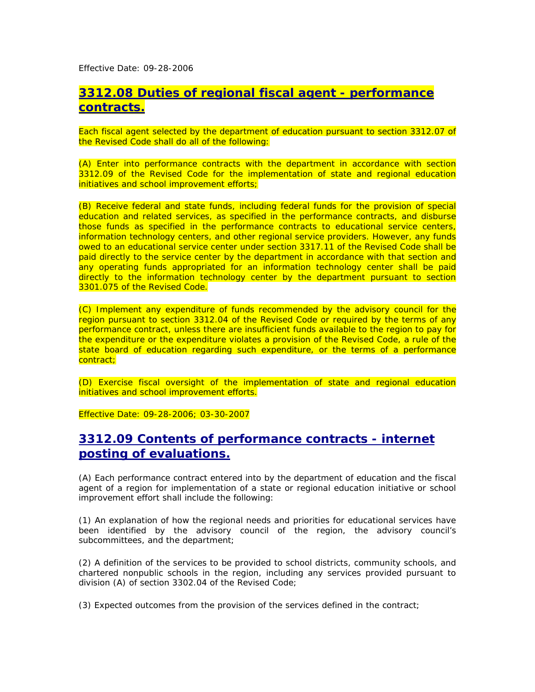Effective Date: 09-28-2006

#### **3312.08 Duties of regional fiscal agent - performance contracts.**

Each fiscal agent selected by the department of education pursuant to section 3312.07 of the Revised Code shall do all of the following:

(A) Enter into performance contracts with the department in accordance with section 3312.09 of the Revised Code for the implementation of state and regional education initiatives and school improvement efforts;

(B) Receive federal and state funds, including federal funds for the provision of special education and related services, as specified in the performance contracts, and disburse those funds as specified in the performance contracts to educational service centers, information technology centers, and other regional service providers. However, any funds owed to an educational service center under section 3317.11 of the Revised Code shall be paid directly to the service center by the department in accordance with that section and any operating funds appropriated for an information technology center shall be paid directly to the information technology center by the department pursuant to section 3301.075 of the Revised Code.

(C) Implement any expenditure of funds recommended by the advisory council for the region pursuant to section 3312.04 of the Revised Code or required by the terms of any performance contract, unless there are insufficient funds available to the region to pay for the expenditure or the expenditure violates a provision of the Revised Code, a rule of the state board of education regarding such expenditure, or the terms of a performance contract;

(D) Exercise fiscal oversight of the implementation of state and regional education initiatives and school improvement efforts.

Effective Date: 09-28-2006; 03-30-2007

### **3312.09 Contents of performance contracts - internet posting of evaluations.**

(A) Each performance contract entered into by the department of education and the fiscal agent of a region for implementation of a state or regional education initiative or school improvement effort shall include the following:

(1) An explanation of how the regional needs and priorities for educational services have been identified by the advisory council of the region, the advisory council's subcommittees, and the department;

(2) A definition of the services to be provided to school districts, community schools, and chartered nonpublic schools in the region, including any services provided pursuant to division (A) of section 3302.04 of the Revised Code;

(3) Expected outcomes from the provision of the services defined in the contract;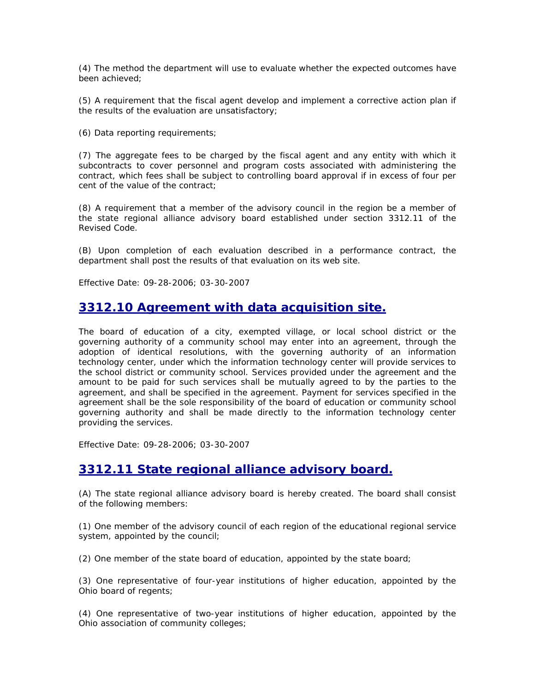(4) The method the department will use to evaluate whether the expected outcomes have been achieved;

(5) A requirement that the fiscal agent develop and implement a corrective action plan if the results of the evaluation are unsatisfactory;

(6) Data reporting requirements;

(7) The aggregate fees to be charged by the fiscal agent and any entity with which it subcontracts to cover personnel and program costs associated with administering the contract, which fees shall be subject to controlling board approval if in excess of four per cent of the value of the contract;

(8) A requirement that a member of the advisory council in the region be a member of the state regional alliance advisory board established under section 3312.11 of the Revised Code.

(B) Upon completion of each evaluation described in a performance contract, the department shall post the results of that evaluation on its web site.

Effective Date: 09-28-2006; 03-30-2007

#### **3312.10 Agreement with data acquisition site.**

The board of education of a city, exempted village, or local school district or the governing authority of a community school may enter into an agreement, through the adoption of identical resolutions, with the governing authority of an information technology center, under which the information technology center will provide services to the school district or community school. Services provided under the agreement and the amount to be paid for such services shall be mutually agreed to by the parties to the agreement, and shall be specified in the agreement. Payment for services specified in the agreement shall be the sole responsibility of the board of education or community school governing authority and shall be made directly to the information technology center providing the services.

Effective Date: 09-28-2006; 03-30-2007

#### **3312.11 State regional alliance advisory board.**

(A) The state regional alliance advisory board is hereby created. The board shall consist of the following members:

(1) One member of the advisory council of each region of the educational regional service system, appointed by the council;

(2) One member of the state board of education, appointed by the state board;

(3) One representative of four-year institutions of higher education, appointed by the Ohio board of regents;

(4) One representative of two-year institutions of higher education, appointed by the Ohio association of community colleges;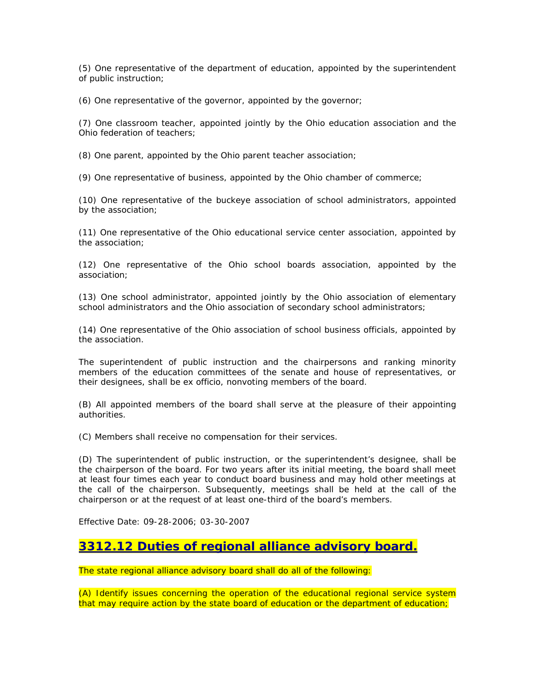(5) One representative of the department of education, appointed by the superintendent of public instruction;

(6) One representative of the governor, appointed by the governor;

(7) One classroom teacher, appointed jointly by the Ohio education association and the Ohio federation of teachers;

(8) One parent, appointed by the Ohio parent teacher association;

(9) One representative of business, appointed by the Ohio chamber of commerce;

(10) One representative of the buckeye association of school administrators, appointed by the association;

(11) One representative of the Ohio educational service center association, appointed by the association;

(12) One representative of the Ohio school boards association, appointed by the association;

(13) One school administrator, appointed jointly by the Ohio association of elementary school administrators and the Ohio association of secondary school administrators;

(14) One representative of the Ohio association of school business officials, appointed by the association.

The superintendent of public instruction and the chairpersons and ranking minority members of the education committees of the senate and house of representatives, or their designees, shall be ex officio, nonvoting members of the board.

(B) All appointed members of the board shall serve at the pleasure of their appointing authorities.

(C) Members shall receive no compensation for their services.

(D) The superintendent of public instruction, or the superintendent's designee, shall be the chairperson of the board. For two years after its initial meeting, the board shall meet at least four times each year to conduct board business and may hold other meetings at the call of the chairperson. Subsequently, meetings shall be held at the call of the chairperson or at the request of at least one-third of the board's members.

Effective Date: 09-28-2006; 03-30-2007

#### **3312.12 Duties of regional alliance advisory board.**

The state regional alliance advisory board shall do all of the following:

(A) Identify issues concerning the operation of the educational regional service system that may require action by the state board of education or the department of education;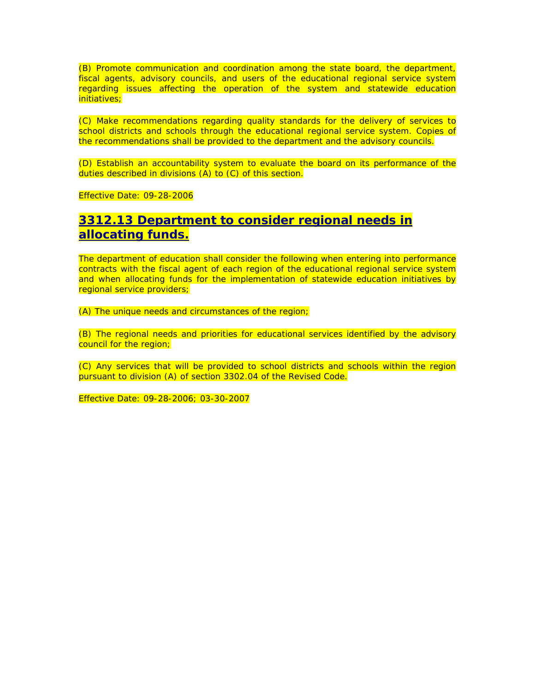(B) Promote communication and coordination among the state board, the department, fiscal agents, advisory councils, and users of the educational regional service system regarding issues affecting the operation of the system and statewide education initiatives;

(C) Make recommendations regarding quality standards for the delivery of services to school districts and schools through the educational regional service system. Copies of the recommendations shall be provided to the department and the advisory councils.

(D) Establish an accountability system to evaluate the board on its performance of the duties described in divisions (A) to (C) of this section.

Effective Date: 09-28-2006

#### **3312.13 Department to consider regional needs in allocating funds.**

The department of education shall consider the following when entering into performance contracts with the fiscal agent of each region of the educational regional service system and when allocating funds for the implementation of statewide education initiatives by regional service providers;

(A) The unique needs and circumstances of the region;

(B) The regional needs and priorities for educational services identified by the advisory council for the region;

(C) Any services that will be provided to school districts and schools within the region pursuant to division (A) of section 3302.04 of the Revised Code.

Effective Date: 09-28-2006; 03-30-2007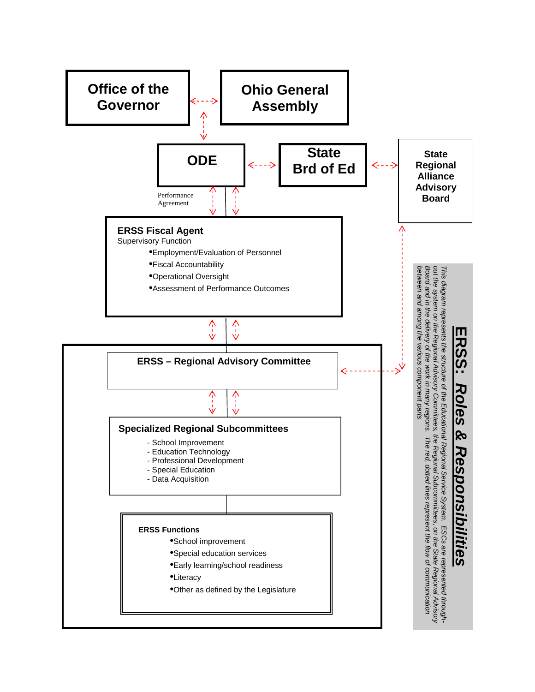